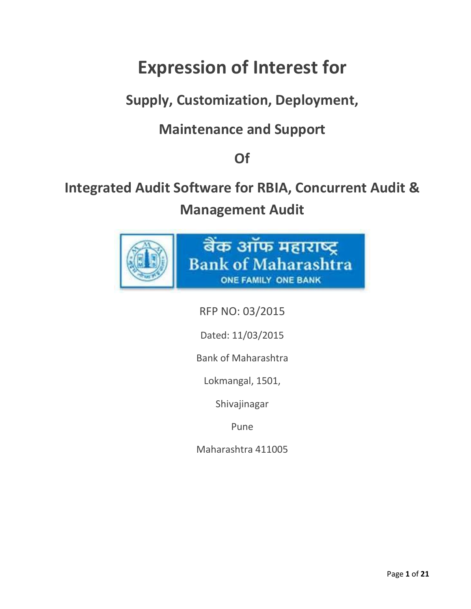## **Expression of Interest for**

## **Supply, Customization, Deployment,**

## **Maintenance and Support**

## **Of**

# **Integrated Audit Software for RBIA, Concurrent Audit &**

**Management Audit** 



RFP NO: 03/2015

Dated: 11/03/2015

Bank of Maharashtra

Lokmangal, 1501,

Shivajinagar

Pune

Maharashtra 411005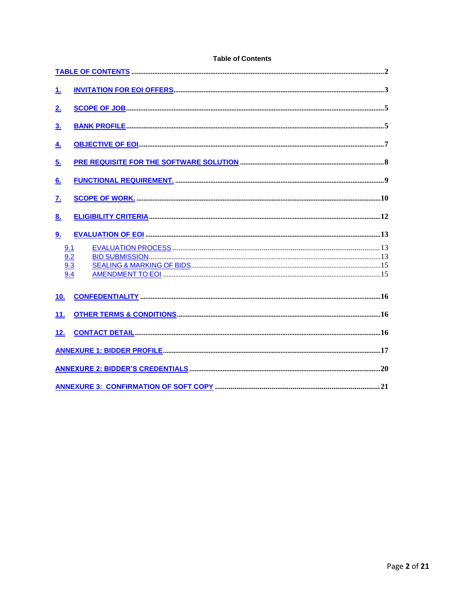| 1.                                                  |  |  |  |
|-----------------------------------------------------|--|--|--|
| 2 <sub>1</sub>                                      |  |  |  |
| <u>3.</u>                                           |  |  |  |
| 4.                                                  |  |  |  |
| 5.                                                  |  |  |  |
| 6.                                                  |  |  |  |
| <u>z.</u>                                           |  |  |  |
| <u>8.</u>                                           |  |  |  |
| <u>9.</u>                                           |  |  |  |
| 9.1                                                 |  |  |  |
| 9.2<br>9.3                                          |  |  |  |
| 9.4                                                 |  |  |  |
| 10 <sub>1</sub>                                     |  |  |  |
| 11.                                                 |  |  |  |
| 12.                                                 |  |  |  |
|                                                     |  |  |  |
|                                                     |  |  |  |
| 21<br><b>ANNEXURE 3: CONFIRMATION OF SOFT COPY </b> |  |  |  |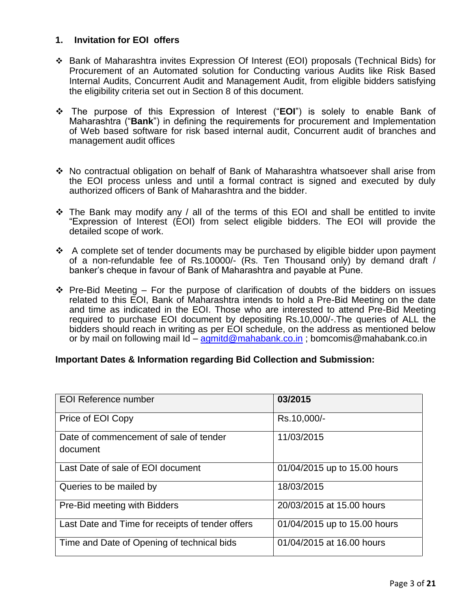#### **1. Invitation for EOI offers**

- Bank of Maharashtra invites Expression Of Interest (EOI) proposals (Technical Bids) for Procurement of an Automated solution for Conducting various Audits like Risk Based Internal Audits, Concurrent Audit and Management Audit, from eligible bidders satisfying the eligibility criteria set out in Section 8 of this document.
- The purpose of this Expression of Interest ("**EOI**") is solely to enable Bank of Maharashtra ("**Bank**") in defining the requirements for procurement and Implementation of Web based software for risk based internal audit, Concurrent audit of branches and management audit offices
- No contractual obligation on behalf of Bank of Maharashtra whatsoever shall arise from the EOI process unless and until a formal contract is signed and executed by duly authorized officers of Bank of Maharashtra and the bidder.
- $\cdot$  The Bank may modify any / all of the terms of this EOI and shall be entitled to invite "Expression of Interest (EOI) from select eligible bidders. The EOI will provide the detailed scope of work.
- $\triangle$  A complete set of tender documents may be purchased by eligible bidder upon payment of a non-refundable fee of Rs.10000/- (Rs. Ten Thousand only) by demand draft / banker"s cheque in favour of Bank of Maharashtra and payable at Pune.
- $\div$  Pre-Bid Meeting For the purpose of clarification of doubts of the bidders on issues related to this EOI, Bank of Maharashtra intends to hold a Pre-Bid Meeting on the date and time as indicated in the EOI. Those who are interested to attend Pre-Bid Meeting required to purchase EOI document by depositing Rs.10,000/-.The queries of ALL the bidders should reach in writing as per EOI schedule, on the address as mentioned below or by mail on following mail Id – [agmitd@mahabank.co.in](mailto:agmitd@mahabank.co.in) ; bomcomis@mahabank.co.in

#### **Important Dates & Information regarding Bid Collection and Submission:**

| <b>EOI Reference number</b>                        | 03/2015                      |
|----------------------------------------------------|------------------------------|
| Price of EOI Copy                                  | Rs.10,000/-                  |
| Date of commencement of sale of tender<br>document | 11/03/2015                   |
| Last Date of sale of EOI document                  | 01/04/2015 up to 15.00 hours |
| Queries to be mailed by                            | 18/03/2015                   |
| Pre-Bid meeting with Bidders                       | 20/03/2015 at 15.00 hours    |
| Last Date and Time for receipts of tender offers   | 01/04/2015 up to 15.00 hours |
| Time and Date of Opening of technical bids         | 01/04/2015 at 16.00 hours    |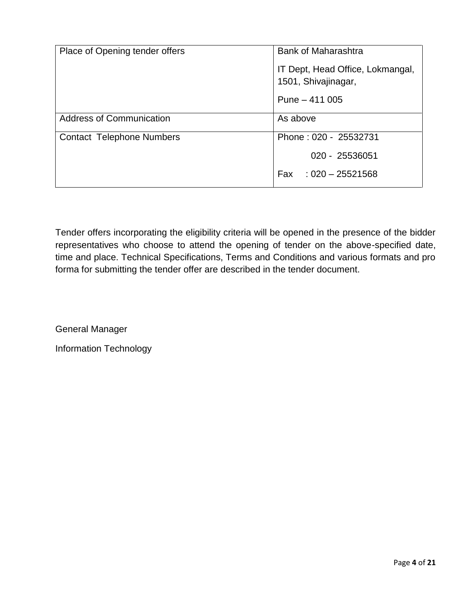| Place of Opening tender offers   | <b>Bank of Maharashtra</b>                              |  |
|----------------------------------|---------------------------------------------------------|--|
|                                  | IT Dept, Head Office, Lokmangal,<br>1501, Shivajinagar, |  |
|                                  | Pune $-411005$                                          |  |
| <b>Address of Communication</b>  | As above                                                |  |
| <b>Contact Telephone Numbers</b> | Phone: 020 - 25532731                                   |  |
|                                  | 020 - 25536051                                          |  |
|                                  | Fax: $1020 - 25521568$                                  |  |

Tender offers incorporating the eligibility criteria will be opened in the presence of the bidder representatives who choose to attend the opening of tender on the above-specified date, time and place. Technical Specifications, Terms and Conditions and various formats and pro forma for submitting the tender offer are described in the tender document.

General Manager

Information Technology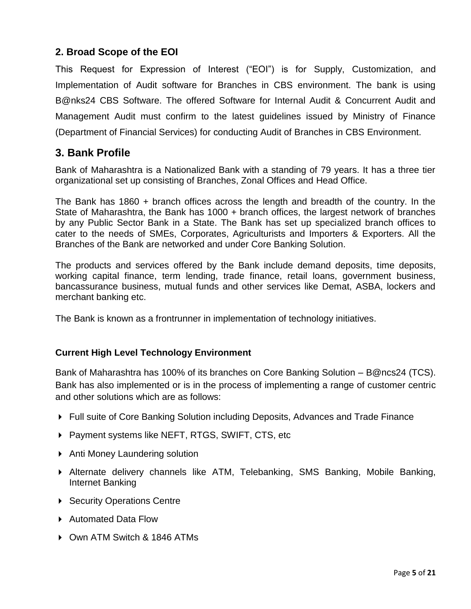#### **2. Broad Scope of the EOI**

This Request for Expression of Interest ("EOI") is for Supply, Customization, and Implementation of Audit software for Branches in CBS environment. The bank is using B@nks24 CBS Software. The offered Software for Internal Audit & Concurrent Audit and Management Audit must confirm to the latest guidelines issued by Ministry of Finance (Department of Financial Services) for conducting Audit of Branches in CBS Environment.

#### **3. Bank Profile**

Bank of Maharashtra is a Nationalized Bank with a standing of 79 years. It has a three tier organizational set up consisting of Branches, Zonal Offices and Head Office.

The Bank has 1860 + branch offices across the length and breadth of the country. In the State of Maharashtra, the Bank has 1000 + branch offices, the largest network of branches by any Public Sector Bank in a State. The Bank has set up specialized branch offices to cater to the needs of SMEs, Corporates, Agriculturists and Importers & Exporters. All the Branches of the Bank are networked and under Core Banking Solution.

The products and services offered by the Bank include demand deposits, time deposits, working capital finance, term lending, trade finance, retail loans, government business, bancassurance business, mutual funds and other services like Demat, ASBA, lockers and merchant banking etc.

The Bank is known as a frontrunner in implementation of technology initiatives.

#### **Current High Level Technology Environment**

Bank of Maharashtra has 100% of its branches on Core Banking Solution – B@ncs24 (TCS). Bank has also implemented or is in the process of implementing a range of customer centric and other solutions which are as follows:

- ▶ Full suite of Core Banking Solution including Deposits, Advances and Trade Finance
- ▶ Payment systems like NEFT, RTGS, SWIFT, CTS, etc
- ▶ Anti Money Laundering solution
- Alternate delivery channels like ATM, Telebanking, SMS Banking, Mobile Banking, Internet Banking
- ▶ Security Operations Centre
- ▶ Automated Data Flow
- ▶ Own ATM Switch & 1846 ATMs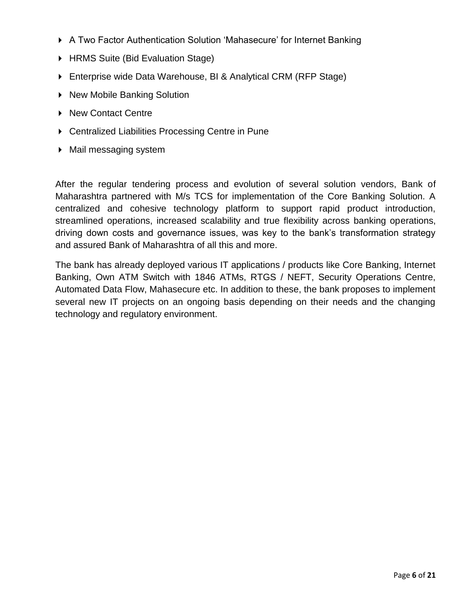- ▶ A Two Factor Authentication Solution 'Mahasecure' for Internet Banking
- ▶ HRMS Suite (Bid Evaluation Stage)
- Enterprise wide Data Warehouse, BI & Analytical CRM (RFP Stage)
- ▶ New Mobile Banking Solution
- ▶ New Contact Centre
- ▶ Centralized Liabilities Processing Centre in Pune
- Mail messaging system

After the regular tendering process and evolution of several solution vendors, Bank of Maharashtra partnered with M/s TCS for implementation of the Core Banking Solution. A centralized and cohesive technology platform to support rapid product introduction, streamlined operations, increased scalability and true flexibility across banking operations, driving down costs and governance issues, was key to the bank"s transformation strategy and assured Bank of Maharashtra of all this and more.

The bank has already deployed various IT applications / products like Core Banking, Internet Banking, Own ATM Switch with 1846 ATMs, RTGS / NEFT, Security Operations Centre, Automated Data Flow, Mahasecure etc. In addition to these, the bank proposes to implement several new IT projects on an ongoing basis depending on their needs and the changing technology and regulatory environment.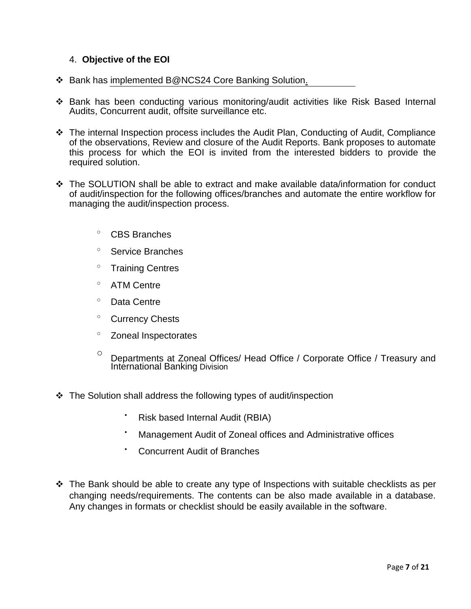#### 4. **Objective of the EOI**

- ❖ Bank has implemented B@NCS24 Core Banking Solution.
- Bank has been conducting various monitoring/audit activities like Risk Based Internal Audits, Concurrent audit, offsite surveillance etc.
- The internal Inspection process includes the Audit Plan, Conducting of Audit, Compliance of the observations, Review and closure of the Audit Reports. Bank proposes to automate this process for which the EOI is invited from the interested bidders to provide the required solution.
- The SOLUTION shall be able to extract and make available data/information for conduct of audit/inspection for the following offices/branches and automate the entire workflow for managing the audit/inspection process.
	- <sup>o</sup> CBS Branches
	- <sup>o</sup> Service Branches
	- <sup>o</sup> Training Centres
	- ATM Centre
	- <sup>o</sup> Data Centre
	- <sup>o</sup> Currency Chests
	- $\degree$  Zoneal Inspectorates
	- o Departments at Zoneal Offices/ Head Office / Corporate Office / Treasury and International Banking Division
- $\cdot$  The Solution shall address the following types of audit/inspection
	- Risk based Internal Audit (RBIA)
	- Management Audit of Zoneal offices and Administrative offices
	- Concurrent Audit of Branches
- $\cdot \cdot$  The Bank should be able to create any type of Inspections with suitable checklists as per changing needs/requirements. The contents can be also made available in a database. Any changes in formats or checklist should be easily available in the software.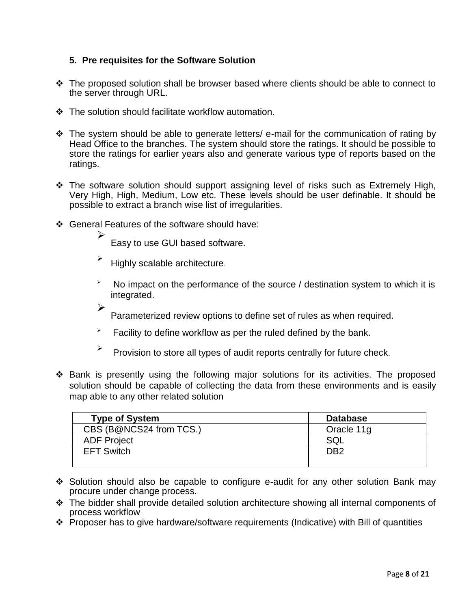#### **5. Pre requisites for the Software Solution**

- $\cdot \cdot$  The proposed solution shall be browser based where clients should be able to connect to the server through URL.
- ❖ The solution should facilitate workflow automation.
- The system should be able to generate letters/ e-mail for the communication of rating by Head Office to the branches. The system should store the ratings. It should be possible to store the ratings for earlier years also and generate various type of reports based on the ratings.
- \* The software solution should support assigning level of risks such as Extremely High, Very High, High, Medium, Low etc. These levels should be user definable. It should be possible to extract a branch wise list of irregularities.
- General Features of the software should have:

 $\blacktriangleright$ 

Easy to use GUI based software.

- $\blacktriangleright$  Highly scalable architecture.
- $\lambda$  No impact on the performance of the source / destination system to which it is integrated.
- $\blacktriangleright$ Parameterized review options to define set of rules as when required.
- $\overline{P}$  Facility to define workflow as per the ruled defined by the bank.
- $\blacktriangleright$ Provision to store all types of audit reports centrally for future check.
- Bank is presently using the following major solutions for its activities. The proposed solution should be capable of collecting the data from these environments and is easily map able to any other related solution

| <b>Type of System</b>   | <b>Database</b> |
|-------------------------|-----------------|
| CBS (B@NCS24 from TCS.) | Oracle 11g      |
| <b>ADF Project</b>      | SQL             |
| <b>EFT Switch</b>       | DB <sub>2</sub> |

- Solution should also be capable to configure e-audit for any other solution Bank may procure under change process.
- The bidder shall provide detailed solution architecture showing all internal components of process workflow
- Proposer has to give hardware/software requirements (Indicative) with Bill of quantities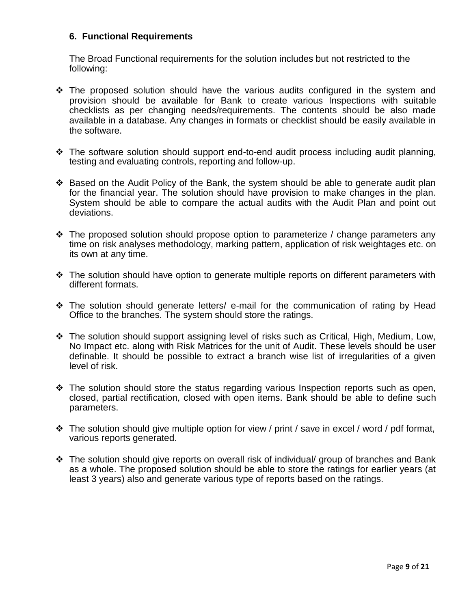#### **6. Functional Requirements**

The Broad Functional requirements for the solution includes but not restricted to the following:

- $\div$  The proposed solution should have the various audits configured in the system and provision should be available for Bank to create various Inspections with suitable checklists as per changing needs/requirements. The contents should be also made available in a database. Any changes in formats or checklist should be easily available in the software.
- \* The software solution should support end-to-end audit process including audit planning, testing and evaluating controls, reporting and follow-up.
- $\cdot$  Based on the Audit Policy of the Bank, the system should be able to generate audit plan for the financial year. The solution should have provision to make changes in the plan. System should be able to compare the actual audits with the Audit Plan and point out deviations.
- $\div$  The proposed solution should propose option to parameterize / change parameters any time on risk analyses methodology, marking pattern, application of risk weightages etc. on its own at any time.
- $\cdot \cdot$  The solution should have option to generate multiple reports on different parameters with different formats.
- \* The solution should generate letters/ e-mail for the communication of rating by Head Office to the branches. The system should store the ratings.
- The solution should support assigning level of risks such as Critical, High, Medium, Low, No Impact etc. along with Risk Matrices for the unit of Audit. These levels should be user definable. It should be possible to extract a branch wise list of irregularities of a given level of risk.
- $\cdot \cdot$  The solution should store the status regarding various Inspection reports such as open, closed, partial rectification, closed with open items. Bank should be able to define such parameters.
- $\div$  The solution should give multiple option for view / print / save in excel / word / pdf format, various reports generated.
- The solution should give reports on overall risk of individual/ group of branches and Bank as a whole. The proposed solution should be able to store the ratings for earlier years (at least 3 years) also and generate various type of reports based on the ratings.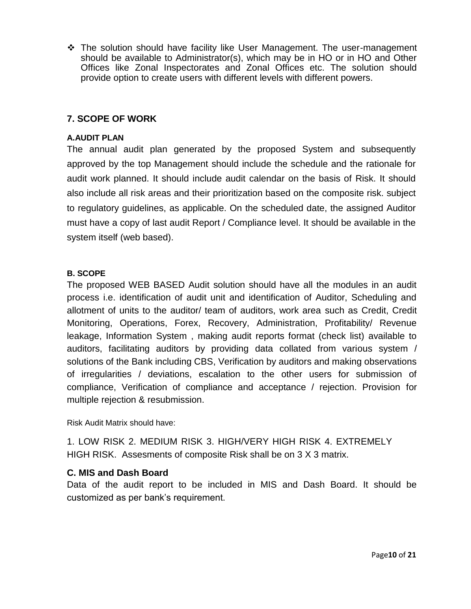The solution should have facility like User Management. The user-management should be available to Administrator(s), which may be in HO or in HO and Other Offices like Zonal Inspectorates and Zonal Offices etc. The solution should provide option to create users with different levels with different powers.

#### **7. SCOPE OF WORK**

#### **A.AUDIT PLAN**

The annual audit plan generated by the proposed System and subsequently approved by the top Management should include the schedule and the rationale for audit work planned. It should include audit calendar on the basis of Risk. It should also include all risk areas and their prioritization based on the composite risk. subject to regulatory guidelines, as applicable. On the scheduled date, the assigned Auditor must have a copy of last audit Report / Compliance level. It should be available in the system itself (web based).

#### **B. SCOPE**

The proposed WEB BASED Audit solution should have all the modules in an audit process i.e. identification of audit unit and identification of Auditor, Scheduling and allotment of units to the auditor/ team of auditors, work area such as Credit, Credit Monitoring, Operations, Forex, Recovery, Administration, Profitability/ Revenue leakage, Information System , making audit reports format (check list) available to auditors, facilitating auditors by providing data collated from various system / solutions of the Bank including CBS, Verification by auditors and making observations of irregularities / deviations, escalation to the other users for submission of compliance, Verification of compliance and acceptance / rejection. Provision for multiple rejection & resubmission.

Risk Audit Matrix should have:

1. LOW RISK 2. MEDIUM RISK 3. HIGH/VERY HIGH RISK 4. EXTREMELY HIGH RISK. Assesments of composite Risk shall be on 3 X 3 matrix.

#### **C. MIS and Dash Board**

Data of the audit report to be included in MIS and Dash Board. It should be customized as per bank"s requirement.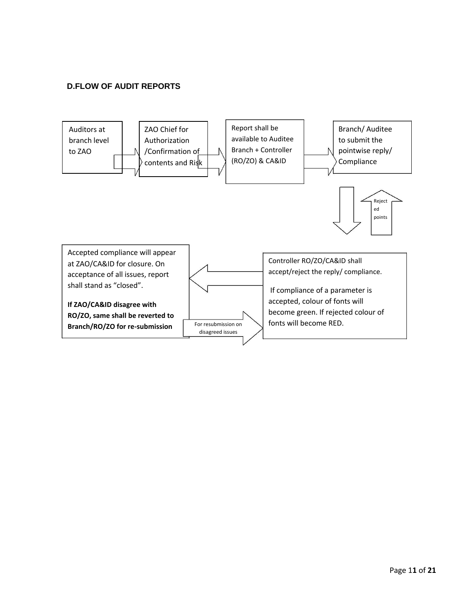#### **D.FLOW OF AUDIT REPORTS**

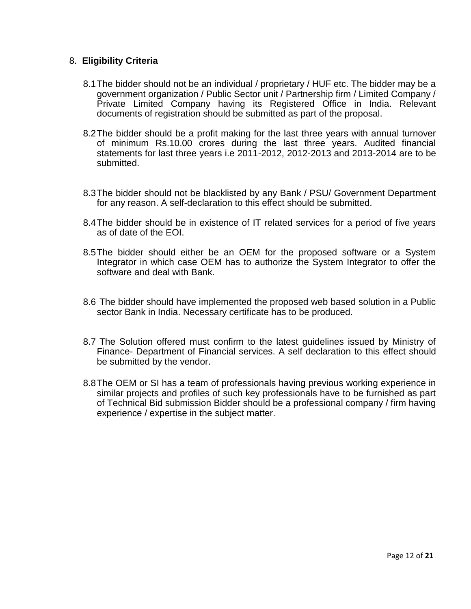#### 8. **Eligibility Criteria**

- 8.1The bidder should not be an individual / proprietary / HUF etc. The bidder may be a government organization / Public Sector unit / Partnership firm / Limited Company / Private Limited Company having its Registered Office in India. Relevant documents of registration should be submitted as part of the proposal.
- 8.2The bidder should be a profit making for the last three years with annual turnover of minimum Rs.10.00 crores during the last three years. Audited financial statements for last three years i.e 2011-2012, 2012-2013 and 2013-2014 are to be submitted.
- 8.3The bidder should not be blacklisted by any Bank / PSU/ Government Department for any reason. A self-declaration to this effect should be submitted.
- 8.4The bidder should be in existence of IT related services for a period of five years as of date of the EOI.
- 8.5The bidder should either be an OEM for the proposed software or a System Integrator in which case OEM has to authorize the System Integrator to offer the software and deal with Bank.
- 8.6 The bidder should have implemented the proposed web based solution in a Public sector Bank in India. Necessary certificate has to be produced.
- 8.7 The Solution offered must confirm to the latest guidelines issued by Ministry of Finance- Department of Financial services. A self declaration to this effect should be submitted by the vendor.
- 8.8The OEM or SI has a team of professionals having previous working experience in similar projects and profiles of such key professionals have to be furnished as part of Technical Bid submission Bidder should be a professional company / firm having experience / expertise in the subject matter.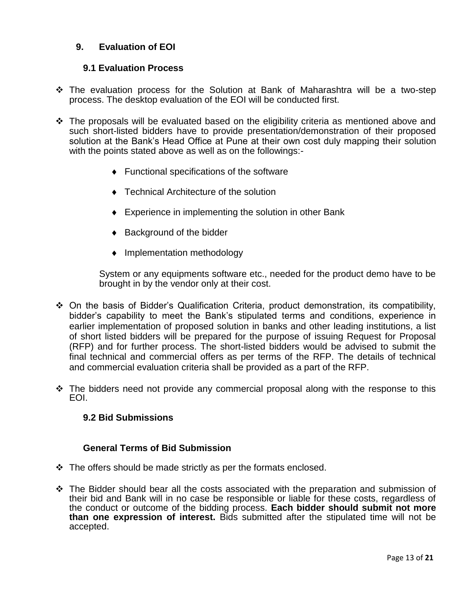#### **9. Evaluation of EOI**

#### **9.1 Evaluation Process**

- The evaluation process for the Solution at Bank of Maharashtra will be a two-step process. The desktop evaluation of the EOI will be conducted first.
- The proposals will be evaluated based on the eligibility criteria as mentioned above and such short-listed bidders have to provide presentation/demonstration of their proposed solution at the Bank"s Head Office at Pune at their own cost duly mapping their solution with the points stated above as well as on the followings:-
	- Functional specifications of the software
	- ◆ Technical Architecture of the solution
	- ◆ Experience in implementing the solution in other Bank
	- ◆ Background of the bidder
	- Implementation methodology

System or any equipments software etc., needed for the product demo have to be brought in by the vendor only at their cost.

- On the basis of Bidder"s Qualification Criteria, product demonstration, its compatibility, bidder"s capability to meet the Bank"s stipulated terms and conditions, experience in earlier implementation of proposed solution in banks and other leading institutions, a list of short listed bidders will be prepared for the purpose of issuing Request for Proposal (RFP) and for further process. The short-listed bidders would be advised to submit the final technical and commercial offers as per terms of the RFP. The details of technical and commercial evaluation criteria shall be provided as a part of the RFP.
- $\cdot$  The bidders need not provide any commercial proposal along with the response to this EOI.

#### **9.2 Bid Submissions**

#### **General Terms of Bid Submission**

- $\cdot$  The offers should be made strictly as per the formats enclosed.
- $\div$  The Bidder should bear all the costs associated with the preparation and submission of their bid and Bank will in no case be responsible or liable for these costs, regardless of the conduct or outcome of the bidding process. **Each bidder should submit not more than one expression of interest.** Bids submitted after the stipulated time will not be accepted.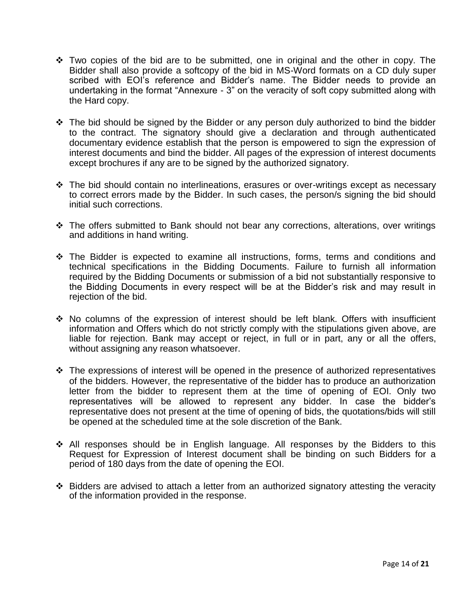- $\cdot \cdot$  Two copies of the bid are to be submitted, one in original and the other in copy. The Bidder shall also provide a softcopy of the bid in MS-Word formats on a CD duly super scribed with EOI's reference and Bidder's name. The Bidder needs to provide an undertaking in the format "Annexure - 3" on the veracity of soft copy submitted along with the Hard copy.
- $\cdot$  The bid should be signed by the Bidder or any person duly authorized to bind the bidder to the contract. The signatory should give a declaration and through authenticated documentary evidence establish that the person is empowered to sign the expression of interest documents and bind the bidder. All pages of the expression of interest documents except brochures if any are to be signed by the authorized signatory.
- $\div$  The bid should contain no interlineations, erasures or over-writings except as necessary to correct errors made by the Bidder. In such cases, the person/s signing the bid should initial such corrections.
- $\div$  The offers submitted to Bank should not bear any corrections, alterations, over writings and additions in hand writing.
- The Bidder is expected to examine all instructions, forms, terms and conditions and technical specifications in the Bidding Documents. Failure to furnish all information required by the Bidding Documents or submission of a bid not substantially responsive to the Bidding Documents in every respect will be at the Bidder"s risk and may result in rejection of the bid.
- $\cdot \cdot$  No columns of the expression of interest should be left blank. Offers with insufficient information and Offers which do not strictly comply with the stipulations given above, are liable for rejection. Bank may accept or reject, in full or in part, any or all the offers, without assigning any reason whatsoever.
- $\div$  The expressions of interest will be opened in the presence of authorized representatives of the bidders. However, the representative of the bidder has to produce an authorization letter from the bidder to represent them at the time of opening of EOI. Only two representatives will be allowed to represent any bidder. In case the bidder"s representative does not present at the time of opening of bids, the quotations/bids will still be opened at the scheduled time at the sole discretion of the Bank.
- All responses should be in English language. All responses by the Bidders to this Request for Expression of Interest document shall be binding on such Bidders for a period of 180 days from the date of opening the EOI.
- Bidders are advised to attach a letter from an authorized signatory attesting the veracity of the information provided in the response.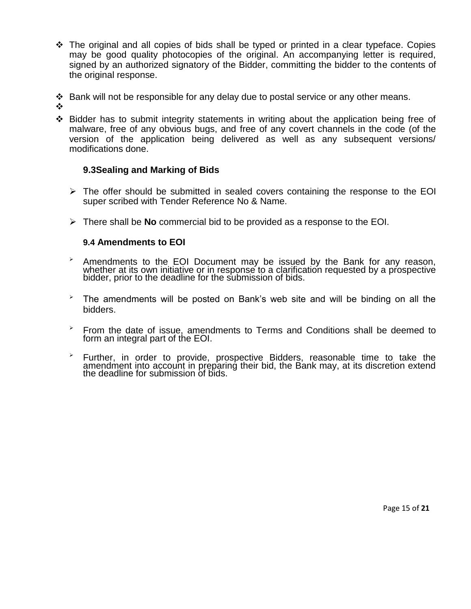- $\div$  The original and all copies of bids shall be typed or printed in a clear typeface. Copies may be good quality photocopies of the original. An accompanying letter is required, signed by an authorized signatory of the Bidder, committing the bidder to the contents of the original response.
- Bank will not be responsible for any delay due to postal service or any other means.
- ❖
- $\div$  Bidder has to submit integrity statements in writing about the application being free of malware, free of any obvious bugs, and free of any covert channels in the code (of the version of the application being delivered as well as any subsequent versions/ modifications done.

#### **9.3Sealing and Marking of Bids**

- $\triangleright$  The offer should be submitted in sealed covers containing the response to the EOI super scribed with Tender Reference No & Name.
- There shall be **No** commercial bid to be provided as a response to the EOI.

#### **9.4 Amendments to EOI**

- $\rightarrow$  Amendments to the EOI Document may be issued by the Bank for any reason, whether at its own initiative or in response to a clarification requested by a prospective bidder, prior to the deadline for the submission of bids.
- $\overline{P}$  The amendments will be posted on Bank's web site and will be binding on all the bidders.
- $\overline{P}$  From the date of issue, amendments to Terms and Conditions shall be deemed to form an integral part of the EOI.
- $\rightarrow$  Further, in order to provide, prospective Bidders, reasonable time to take the amendment into account in preparing their bid, the Bank may, at its discretion extend the deadline for submission of bids.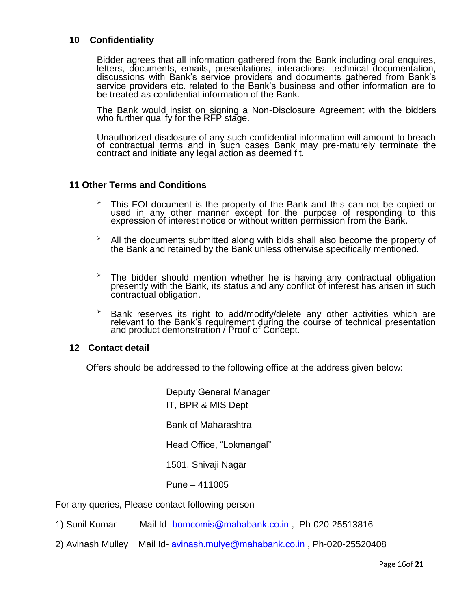#### **10 Confidentiality**

Bidder agrees that all information gathered from the Bank including oral enquires, letters, documents, emails, presentations, interactions, technical documentation, discussions with Bank"s service providers and documents gathered from Bank"s service providers etc. related to the Bank"s business and other information are to be treated as confidential information of the Bank.

The Bank would insist on signing a Non-Disclosure Agreement with the bidders who further qualify for the RFP stage.

Unauthorized disclosure of any such confidential information will amount to breach of contractual terms and in such cases Bank may pre-maturely terminate the contract and initiate any legal action as deemed fit.

#### **11 Other Terms and Conditions**

- $\overline{P}$  This EOI document is the property of the Bank and this can not be copied or used in any other manner except for the purpose of responding to this expression of interest notice or without written permission from the Bank.
- $\overline{P}$  All the documents submitted along with bids shall also become the property of the Bank and retained by the Bank unless otherwise specifically mentioned.
- $\overline{P}$  The bidder should mention whether he is having any contractual obligation presently with the Bank, its status and any conflict of interest has arisen in such contractual obligation.
- $\overline{P}$  Bank reserves its right to add/modify/delete any other activities which are relevant to the Bank"s requirement during the course of technical presentation and product demonstration / Proof of Concept.

#### **12 Contact detail**

Offers should be addressed to the following office at the address given below:

Deputy General Manager IT, BPR & MIS Dept Bank of Maharashtra Head Office, "Lokmangal" 1501, Shivaji Nagar Pune – 411005

For any queries, Please contact following person

- 1) Sunil Kumar Mail Id- [bomcomis@mahabank.co.in](mailto:bomcomis@mahabank.co.in) , Ph-020-25513816
- 2) Avinash Mulley Mail Id- [avinash.mulye@mahabank.co.in](mailto:avinash.mulye@mahabank.co.in) , Ph-020-25520408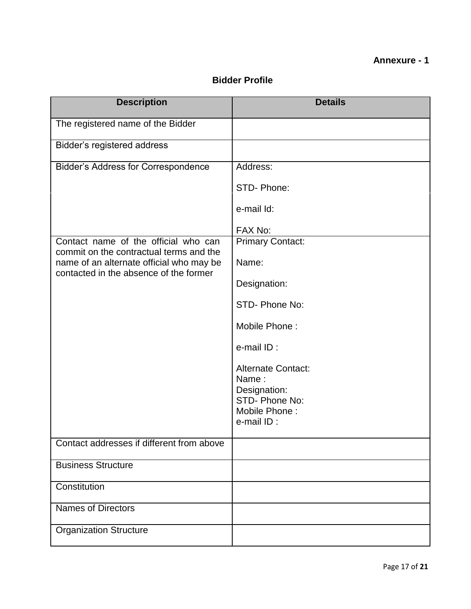#### **Annexure - 1**

#### **Bidder Profile**

| <b>Description</b>                                                                 | <b>Details</b>                     |
|------------------------------------------------------------------------------------|------------------------------------|
| The registered name of the Bidder                                                  |                                    |
| Bidder's registered address                                                        |                                    |
| <b>Bidder's Address for Correspondence</b>                                         | Address:                           |
|                                                                                    | STD-Phone:                         |
|                                                                                    | e-mail Id:                         |
|                                                                                    | FAX No:                            |
| Contact name of the official who can<br>commit on the contractual terms and the    | <b>Primary Contact:</b>            |
| name of an alternate official who may be<br>contacted in the absence of the former | Name:                              |
|                                                                                    | Designation:                       |
|                                                                                    | STD-Phone No:                      |
|                                                                                    | Mobile Phone:                      |
|                                                                                    | e-mail ID:                         |
|                                                                                    | <b>Alternate Contact:</b><br>Name: |
|                                                                                    | Designation:<br>STD- Phone No:     |
|                                                                                    | Mobile Phone:                      |
|                                                                                    | e-mail ID:                         |
| Contact addresses if different from above                                          |                                    |
| <b>Business Structure</b>                                                          |                                    |
| Constitution                                                                       |                                    |
| <b>Names of Directors</b>                                                          |                                    |
| <b>Organization Structure</b>                                                      |                                    |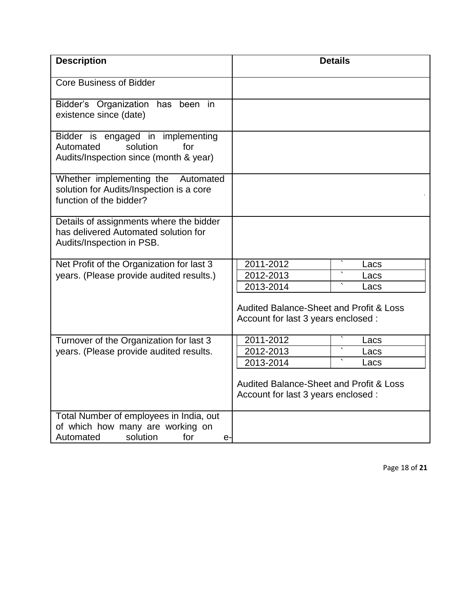| <b>Description</b>                                                                                                |                                                                                           | <b>Details</b> |
|-------------------------------------------------------------------------------------------------------------------|-------------------------------------------------------------------------------------------|----------------|
| <b>Core Business of Bidder</b>                                                                                    |                                                                                           |                |
| Bidder's Organization has been in<br>existence since (date)                                                       |                                                                                           |                |
| Bidder is engaged in implementing<br>Automated<br>solution<br>for<br>Audits/Inspection since (month & year)       |                                                                                           |                |
| Whether implementing the<br>Automated<br>solution for Audits/Inspection is a core<br>function of the bidder?      |                                                                                           |                |
| Details of assignments where the bidder<br>has delivered Automated solution for<br>Audits/Inspection in PSB.      |                                                                                           |                |
| Net Profit of the Organization for last 3                                                                         | 2011-2012                                                                                 | Lacs           |
| years. (Please provide audited results.)                                                                          | 2012-2013                                                                                 | Lacs           |
|                                                                                                                   | 2013-2014                                                                                 | Lacs           |
|                                                                                                                   | <b>Audited Balance-Sheet and Profit &amp; Loss</b><br>Account for last 3 years enclosed : |                |
| Turnover of the Organization for last 3                                                                           | 2011-2012                                                                                 | Lacs           |
| years. (Please provide audited results.                                                                           | 2012-2013                                                                                 | Lacs           |
|                                                                                                                   | 2013-2014                                                                                 | Lacs           |
|                                                                                                                   | <b>Audited Balance-Sheet and Profit &amp; Loss</b><br>Account for last 3 years enclosed : |                |
| Total Number of employees in India, out<br>of which how many are working on<br>solution<br>for<br>Automated<br>е- |                                                                                           |                |

Page 18 of **21**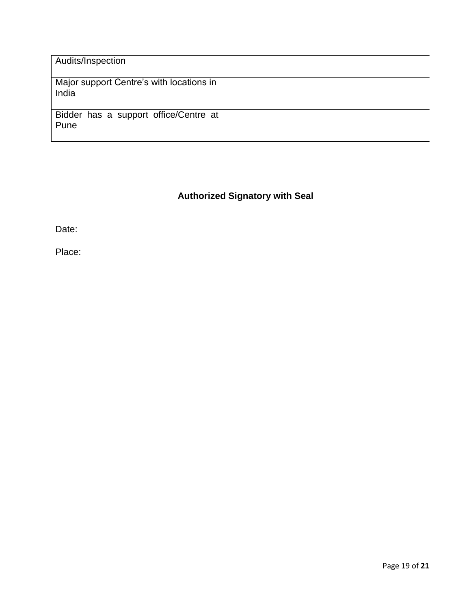| Audits/Inspection                                 |  |
|---------------------------------------------------|--|
| Major support Centre's with locations in<br>India |  |
| Bidder has a support office/Centre at<br>Pune     |  |

### **Authorized Signatory with Seal**

Date:

Place: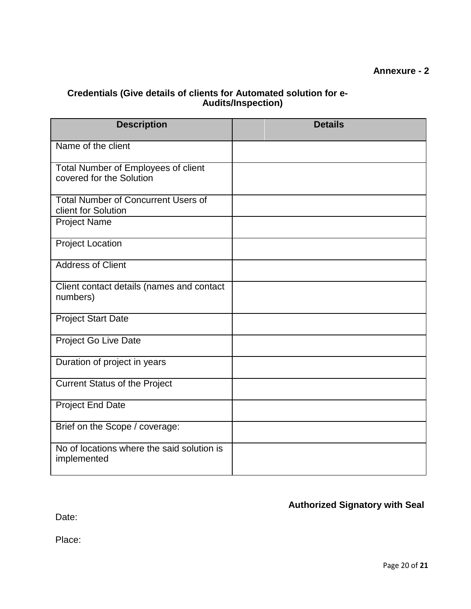#### **Annexure - 2**

#### **Credentials (Give details of clients for Automated solution for e-Audits/Inspection)**

| <b>Description</b>                                                | <b>Details</b> |
|-------------------------------------------------------------------|----------------|
| Name of the client                                                |                |
| Total Number of Employees of client<br>covered for the Solution   |                |
| <b>Total Number of Concurrent Users of</b><br>client for Solution |                |
| <b>Project Name</b>                                               |                |
| <b>Project Location</b>                                           |                |
| <b>Address of Client</b>                                          |                |
| Client contact details (names and contact<br>numbers)             |                |
| <b>Project Start Date</b>                                         |                |
| Project Go Live Date                                              |                |
| Duration of project in years                                      |                |
| <b>Current Status of the Project</b>                              |                |
| <b>Project End Date</b>                                           |                |
| Brief on the Scope / coverage:                                    |                |
| No of locations where the said solution is<br>implemented         |                |

#### **Authorized Signatory with Seal**

Date:

Place: